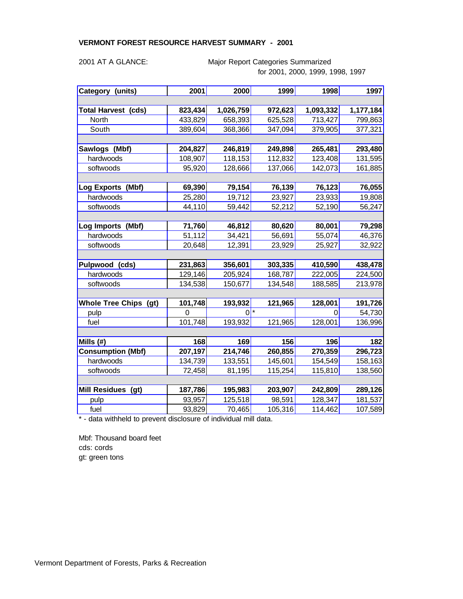### **VERMONT FOREST RESOURCE HARVEST SUMMARY - 2001**

Major Report Categories Summarized for 2001, 2000, 1999, 1998, 1997

| Category (units)             | 2001     | 2000           | 1999    | 1998      | 1997      |
|------------------------------|----------|----------------|---------|-----------|-----------|
|                              |          |                |         |           |           |
| <b>Total Harvest (cds)</b>   | 823,434  | 1,026,759      | 972,623 | 1,093,332 | 1,177,184 |
| North                        | 433,829  | 658,393        | 625,528 | 713,427   | 799,863   |
| South                        | 389,604  | 368,366        | 347,094 | 379,905   | 377,321   |
|                              |          |                |         |           |           |
| Sawlogs (Mbf)                | 204,827  | 246,819        | 249,898 | 265,481   | 293,480   |
| hardwoods                    | 108,907  | 118,153        | 112,832 | 123,408   | 131,595   |
| softwoods                    | 95,920   | 128,666        | 137,066 | 142,073   | 161,885   |
|                              |          |                |         |           |           |
| Log Exports (Mbf)            | 69,390   | 79,154         | 76,139  | 76,123    | 76,055    |
| hardwoods                    | 25,280   | 19,712         | 23,927  | 23,933    | 19,808    |
| softwoods                    | 44,110   | 59,442         | 52,212  | 52,190    | 56,247    |
|                              |          |                |         |           |           |
| Log Imports<br>(Mbf)         | 71,760   | 46,812         | 80,620  | 80,001    | 79,298    |
| hardwoods                    | 51,112   | 34,421         | 56,691  | 55,074    | 46,376    |
| softwoods                    | 20,648   | 12,391         | 23,929  | 25,927    | 32,922    |
|                              |          |                |         |           |           |
| Pulpwood (cds)               | 231,863  | 356,601        | 303,335 | 410,590   | 438,478   |
| hardwoods                    | 129,146  | 205,924        | 168,787 | 222,005   | 224,500   |
| softwoods                    | 134,538  | 150,677        | 134,548 | 188,585   | 213,978   |
|                              |          |                |         |           |           |
| <b>Whole Tree Chips (gt)</b> | 101,748  | 193,932        | 121,965 | 128,001   | 191,726   |
| pulp                         | $\Omega$ | $\overline{0}$ | $\ast$  | 0         | 54,730    |
| fuel                         | 101,748  | 193,932        | 121,965 | 128,001   | 136,996   |
|                              |          |                |         |           |           |
| Mills (#)                    | 168      | 169            | 156     | 196       | 182       |
| <b>Consumption (Mbf)</b>     | 207,197  | 214,746        | 260,855 | 270,359   | 296,723   |
| hardwoods                    | 134,739  | 133,551        | 145,601 | 154,549   | 158,163   |
| softwoods                    | 72,458   | 81,195         | 115,254 | 115,810   | 138,560   |
|                              |          |                |         |           |           |
| Mill Residues (gt)           | 187,786  | 195,983        | 203,907 | 242,809   | 289,126   |
| pulp                         | 93,957   | 125,518        | 98,591  | 128,347   | 181,537   |
| fuel                         | 93,829   | 70,465         | 105,316 | 114,462   | 107,589   |

\* - data withheld to prevent disclosure of individual mill data.

Mbf: Thousand board feet cds: cords gt: green tons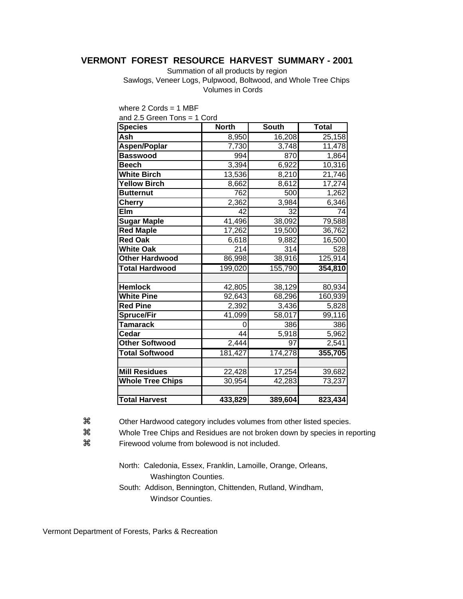## **VERMONT FOREST RESOURCE HARVEST SUMMARY - 2001**

Summation of all products by region

 Sawlogs, Veneer Logs, Pulpwood, Boltwood, and Whole Tree Chips Volumes in Cords

| and $2.5$ Green Tons = 1 Cord |              |              |                     |
|-------------------------------|--------------|--------------|---------------------|
| <b>Species</b>                | <b>North</b> | <b>South</b> | <b>Total</b>        |
| <b>Ash</b>                    | 8,950        | 16,208       | 25,158              |
| Aspen/Poplar                  | 7,730        | 3,748        | 11,478              |
| <b>Basswood</b>               | 994          | 870          | 1,864               |
| <b>Beech</b>                  | 3,394        | 6,922        | 10,316              |
| <b>White Birch</b>            | 13,536       | 8,210        | 21,746              |
| <b>Yellow Birch</b>           | 8,662        | 8,612        | $\overline{17,274}$ |
| <b>Butternut</b>              | 762          | 500          | 1,262               |
| <b>Cherry</b>                 | 2,362        | 3,984        | 6,346               |
| Elm                           | 42           | 32           | 74                  |
| <b>Sugar Maple</b>            | 41,496       | 38,092       | 79,588              |
| <b>Red Maple</b>              | 17,262       | 19,500       | 36,762              |
| <b>Red Oak</b>                | 6,618        | 9,882        | 16,500              |
| <b>White Oak</b>              | 214          | 314          | 528                 |
| <b>Other Hardwood</b>         | 86,998       | 38,916       | 125,914             |
| <b>Total Hardwood</b>         | 199,020      | 155,790      | 354,810             |
|                               |              |              |                     |
| <b>Hemlock</b>                | 42,805       | 38,129       | 80,934              |
| <b>White Pine</b>             | 92,643       | 68,296       | 160,939             |
| <b>Red Pine</b>               | 2,392        | 3,436        | 5,828               |
| <b>Spruce/Fir</b>             | 41,099       | 58,017       | 99,116              |
| <b>Tamarack</b>               | 0            | 386          | 386                 |
| Cedar                         | 44           | 5,918        | 5,962               |
| <b>Other Softwood</b>         | 2,444        | 97           | 2,541               |
| <b>Total Softwood</b>         | 181,427      | 174,278      | 355,705             |
|                               |              |              |                     |
| <b>Mill Residues</b>          | 22,428       | 17,254       | 39,682              |
| <b>Whole Tree Chips</b>       | 30,954       | 42,283       | 73,237              |
|                               |              |              |                     |
| <b>Total Harvest</b>          | 433,829      | 389,604      | 823,434             |
|                               |              |              |                     |

where 2 Cords = 1 MBF

z Other Hardwood category includes volumes from other listed species.

 $\frac{1}{2}$  Whole Tree Chips and Residues are not broken down by species in reporting

z Firewood volume from bolewood is not included.

North: Caledonia, Essex, Franklin, Lamoille, Orange, Orleans, Washington Counties.

South: Addison, Bennington, Chittenden, Rutland, Windham, Windsor Counties.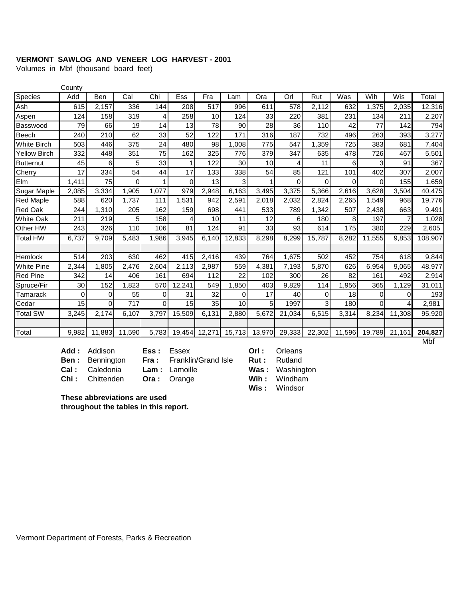### **VERMONT SAWLOG AND VENEER LOG HARVEST - 2001**

Volumes in Mbf (thousand board feet)

|                     | County |          |          |          |            |               |        |        |        |        |          |          |        |         |
|---------------------|--------|----------|----------|----------|------------|---------------|--------|--------|--------|--------|----------|----------|--------|---------|
| Species             | Add    | Ben      | Cal      | Chi      | <b>Ess</b> | Fra           | Lam    | Ora    | Orl    | Rut    | Was      | Wih      | Wis    | Total   |
| Ash                 | 615    | 2,157    | 336      | 144      | 208        | 517           | 996    | 611    | 578    | 2,112  | 632      | 1,375    | 2,035  | 12,316  |
| Aspen               | 124    | 158      | 319      | 4        | 258        | 10            | 124    | 33     | 220    | 381    | 231      | 134      | 211    | 2,207   |
| Basswood            | 79     | 66       | 19       | 14       | 13         | 78            | 90     | 28     | 36     | 110    | 42       | 77       | 142    | 794     |
| <b>Beech</b>        | 240    | 210      | 62       | 33       | 52         | 122           | 171    | 316    | 187    | 732    | 496      | 263      | 393    | 3,277   |
| <b>White Birch</b>  | 503    | 446      | 375      | 24       | 480        | 98            | 1,008  | 775    | 547    | 1,359  | 725      | 383      | 681    | 7,404   |
| <b>Yellow Birch</b> | 332    | 448      | 351      | 75       | 162        | 325           | 776    | 379    | 347    | 635    | 478      | 726      | 467    | 5,501   |
| <b>Butternut</b>    | 45     | 6        | 5        | 33       |            | 122           | 30     | 10     | 4      | 11     | 6        | 3        | 91     | 367     |
| Cherry              | 17     | 334      | 54       | 44       | 17         | 133           | 338    | 54     | 85     | 121    | 101      | 402      | 307    | 2,007   |
| Elm                 | 1,411  | 75       | $\Omega$ | 1        | $\Omega$   | 13            | 3      |        | 0      | 0      | $\Omega$ | $\Omega$ | 155    | 1,659   |
| Sugar Maple         | 2,085  | 3,334    | 1,905    | 1,077    | 979        | 2,948         | 6,163  | 3,495  | 3,375  | 5,366  | 2,616    | 3,628    | 3,504  | 40,475  |
| <b>Red Maple</b>    | 588    | 620      | 1,737    | 111      | 1,531      | 942           | 2,591  | 2,018  | 2,032  | 2,824  | 2,265    | ,549     | 968    | 19,776  |
| <b>Red Oak</b>      | 244    | ,310     | 205      | 162      | 159        | 698           | 441    | 533    | 789    | 1,342  | 507      | 2,438    | 663    | 9,491   |
| <b>White Oak</b>    | 211    | 219      | 5        | 158      | 4          | 10            | 11     | 12     | 6      | 180    | 8        | 197      | 7      | 1,028   |
| Other HW            | 243    | 326      | 110      | 106      | 81         | 124           | 91     | 33     | 93     | 614    | 175      | 380      | 229    | 2,605   |
| <b>Total HW</b>     | 6,737  | 9,709    | 5,483    | 1,986    | 3,945      | 6,140         | 12,833 | 8,298  | 8,299  | 15,787 | 8,282    | 11,555   | 9,853  | 108,907 |
|                     |        |          |          |          |            |               |        |        |        |        |          |          |        |         |
| Hemlock             | 514    | 203      | 630      | 462      | 415        | 2,416         | 439    | 764    | 1.675  | 502    | 452      | 754      | 618    | 9,844   |
| <b>White Pine</b>   | 2,344  | 1,805    | 2,476    | 2,604    | 2,113      | 2,987         | 559    | 4,381  | 7,193  | 5,870  | 626      | 6,954    | 9,065  | 48,977  |
| <b>Red Pine</b>     | 342    | 14       | 406      | 161      | 694        | 112           | 22     | 102    | 300    | 26     | 82       | 161      | 492    | 2,914   |
| Spruce/Fir          | 30     | 152      | 1.823    | 570      | 12,241     | 549           | 1,850  | 403    | 9.829  | 114    | 956,     | 365      | 1,129  | 31,011  |
| Tamarack            | 0      | $\Omega$ | 55       | 0        | 31         | 32            | 0      | 17     | 40     | 0      | 18       | 0        | 0      | 193     |
| Cedar               | 15     | $\Omega$ | 717      | $\Omega$ | 15         | 35            | 10     | 5      | 1997   | 3      | 180      | $\Omega$ | 4      | 2,981   |
| <b>Total SW</b>     | 3,245  | 2,174    | 6,107    | 3,797    | 15,509     | 6,131         | 2,880  | 5,672  | 21,034 | 6,515  | 3,314    | 8,234    | 11,308 | 95,920  |
|                     |        |          |          |          |            |               |        |        |        |        |          |          |        |         |
| Total               | 9,982  | 11,883   | 11,590   | 5,783    |            | 19,454 12,271 | 15,713 | 13,970 | 29,333 | 22,302 | 11,596   | 19,789   | 21,161 | 204,827 |

Add : Addison **Ess : Essex <b>Orl :** Orleans **Ben :** Bennington **Fra :** Franklin/Grand Isle **Rut :** Rutland **Cal :** Caledonia **Lam :** Lamoille **Was :** Washington

**Chi:** Chittenden **Ora:** Orange **Wih:** Windham **Wis :** Windsor

**These abbreviations are used**

**throughout the tables in this report.**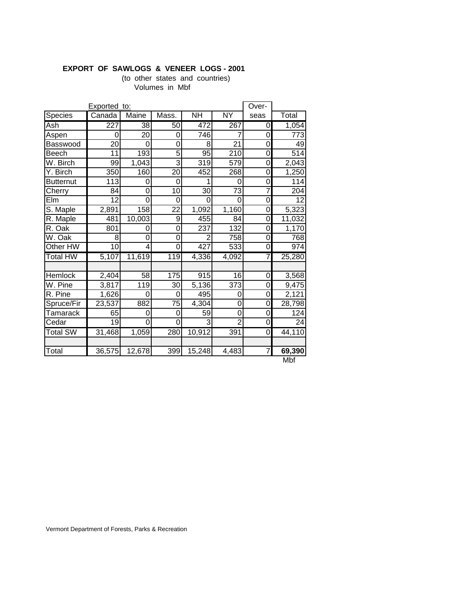### **EXPORT OF SAWLOGS & VENEER LOGS - 2001**

(to other states and countries) Volumes in Mbf

| Species<br>Ash<br>Aspen<br>Basswood<br>Beech | Canada<br>227<br>0<br>$\overline{20}$ | Maine<br>38<br>20 | Mass.<br>50     | <b>NH</b>        | <b>NY</b>       | seas           | Total            |
|----------------------------------------------|---------------------------------------|-------------------|-----------------|------------------|-----------------|----------------|------------------|
|                                              |                                       |                   |                 |                  |                 |                |                  |
|                                              |                                       |                   |                 | 472              | 267             | 0              | 1,054            |
|                                              |                                       |                   | 0               | $\overline{746}$ |                 | 0              | $\overline{773}$ |
|                                              |                                       | 0                 | 0               | 8                | $\overline{21}$ | 0              | 49               |
|                                              | 11                                    | 193               | 5               | 95               | 210             | 0              | $\overline{514}$ |
| W. Birch                                     | 99                                    | 1,043             | 3               | $\overline{319}$ | 579             | 0              | 2,043            |
| Y. Birch                                     | 350                                   | 160               | $\overline{20}$ | 452              | 268             | 0              | 1,250            |
| <b>Butternut</b>                             | 113                                   | 0                 | 0               |                  | 0               | 0              | 114              |
| Cherry                                       | 84                                    | $\overline{0}$    | 10              | 30               | 73              | 7              | 204              |
| Elm                                          | 12                                    | $\overline{0}$    | 0               | 0                | 0               | 0              | 12               |
| S. Maple                                     | 2,891                                 | 158               | 22              | 1,092            | 1,160           | 0              | 5,323            |
| R. Maple                                     | 481                                   | 10,003            | 9               | 455              | 84              | 0              | 11,032           |
| R. Oak                                       | 801                                   | 0                 | 0               | 237              | 132             | 0              | 1,170            |
| W. Oak                                       | 8                                     | $\Omega$          | 0               | 2                | 758             | 0              | 768              |
| Other HW                                     | $\overline{10}$                       | 4                 | 0               | 427              | 533             | 0              | 974              |
| <b>Total HW</b>                              | 5,107                                 | 11,619            | 119             | 4,336            | 4,092           | 7              | 25,280           |
|                                              |                                       |                   |                 |                  |                 |                |                  |
| Hemlock                                      | 2,404                                 | 58                | 175             | 915              | 16              | 0              | 3,568            |
| W. Pine                                      | 3,817                                 | 119               | 30              | 5,136            | 373             | 0              | 9,475            |
| R. Pine                                      | 1,626                                 | 0                 | 0               | 495              | 0               | 0              | 2,121            |
| Spruce/Fir                                   | 23,537                                | 882               | 75              | 4,304            | 0               | 0              | 28,798           |
| <b>Tamarack</b>                              | 65                                    | 0                 | 0               | 59               | 0               | 0              | 124              |
| Cedar                                        | $\overline{19}$                       | $\overline{0}$    | $\overline{0}$  | 3                | $\overline{2}$  | 0              | $\overline{24}$  |
| <b>Total SW</b>                              | 31,468                                | 1,059             | 280             | 10,912           | 391             | $\overline{0}$ | 44,110           |
|                                              |                                       |                   |                 |                  |                 |                |                  |
| Total                                        | 36,575                                | 12,678            | 399             | 15,248           | 4,483           | 7              | 69,390           |

Mbf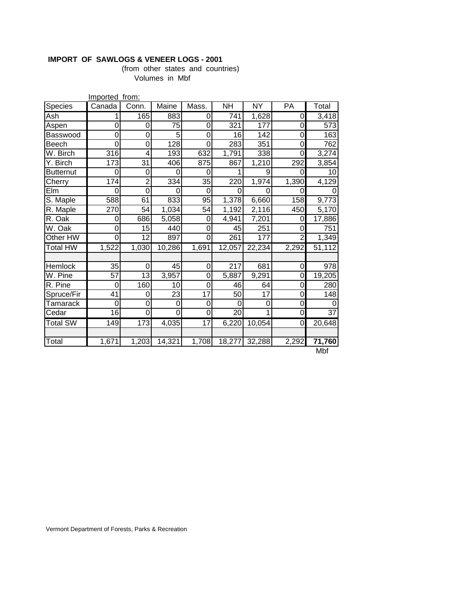## **IMPORT OF SAWLOGS & VENEER LOGS - 2001**

(from other states and countries) Volumes in Mbf

|                        | Imported from: |                 |                  |       |                 |                  |                |                 |
|------------------------|----------------|-----------------|------------------|-------|-----------------|------------------|----------------|-----------------|
| Species                | Canada         | Conn.           | Maine            | Mass. | $\overline{NH}$ | $\overline{NY}$  | PA             | Total           |
| Ash                    | 1              | 165             | 883              | 0     | 741             | 1,628            | 0              | 3,418           |
| Aspen                  | 0              | 0               | 75               | 0     | 321             | 177              | 0              | 573             |
| Basswood               | 0              | $\mathbf 0$     | 5                | 0     | 16              | $\overline{142}$ | 0              | 163             |
| Beech                  | 0              | 0               | $\overline{128}$ | 0     | 283             | 351              | 0              | 762             |
| W. Birch               | 316            | 4               | 193              | 632   | 1,791           | 338              | 0              | 3,274           |
| $\overline{Y}$ . Birch | 173            | $\overline{31}$ | 406              | 875   | 867             | 1,210            | 292            | 3,854           |
| <b>Butternut</b>       | 0              | 0               | 0                | 0     | 1               | 9                | 0              | 10              |
| Cherry                 | 174            | $\overline{2}$  | 334              | 35    | 220             | 1,974            | 1,390          | 4,129           |
| Elm                    | 0              | $\overline{0}$  | 0                | 0     | $\Omega$        |                  | 0              |                 |
| S. Maple               | 588            | 61              | 833              | 95    | 1,378           | 6,660            | 158            | 9,773           |
| R. Maple               | 270            | 54              | 1,034            | 54    | 1,192           | 2,116            | 450            | 5,170           |
| R. Oak                 | 0              | 686             | 5,058            | 0     | 4,941           | 7,201            | 0              | 17,886          |
| W. Oak                 | 0              | 15              | 440              | 0     | 45              | 251              | $\mathbf 0$    | 751             |
| Other HW               | 0              | $\overline{12}$ | 897              | 0     | 261             | 177              | $\overline{2}$ | 1,349           |
| <b>Total HW</b>        | 1,522          | 1,030           | 10,286           | 1,691 | 12,057          | 22,234           | 2,292          | 51,112          |
|                        |                |                 |                  |       |                 |                  |                |                 |
| Hemlock                | 35             | 0               | 45               | 0     | 217             | 681              | 0              | 978             |
| W. Pine                | 57             | 13              | 3,957            | 0     | 5,887           | 9,291            | 0              | 19,205          |
| R. Pine                | 0              | 160             | 10               | 0     | 46              | 64               | 0              | 280             |
| Spruce/Fir             | 41             | 0               | 23               | 17    | 50              | 17               | 0              | 148             |
| Tamarack               | 0              | 0               | 0                | 0     | 0               | 0                | 0              | 0               |
| Cedar                  | 16             | $\overline{0}$  | 0                | 0     | $\overline{20}$ |                  | 0              | $\overline{37}$ |
| <b>Total SW</b>        | 149            | 173             | 4,035            | 17    | 6,220           | 10,054           | 0              | 20,648          |
|                        |                |                 |                  |       |                 |                  |                |                 |
| Total                  | 1,671          | 1,203           | 14,321           | 1,708 | 18,277          | 32,288           | 2,292          | 71,760<br>NAL   |

Mbf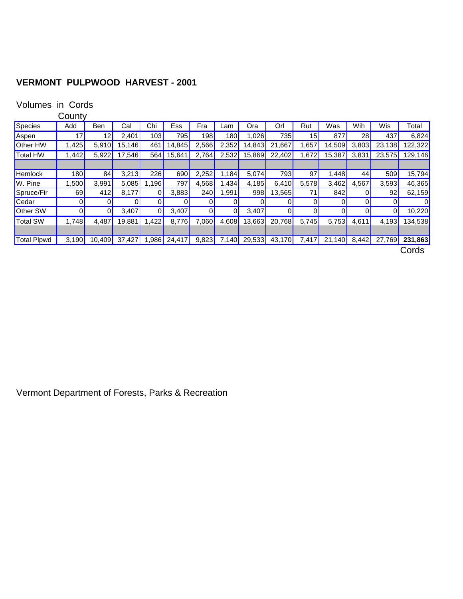# **VERMONT PULPWOOD HARVEST - 2001**

## Volumes in Cords

|  | County |
|--|--------|
|--|--------|

|                    | - - - - -            |                 |              |              |        |       |                    |        |                |                 |                |       |                |                        |
|--------------------|----------------------|-----------------|--------------|--------------|--------|-------|--------------------|--------|----------------|-----------------|----------------|-------|----------------|------------------------|
| Species            | Add                  | Ben             | Cal          | Chi          | Ess    | Fra   | _am                | Ora    | Orl            | Rut             | Was            | Wih   | Wis            | Total                  |
| Aspen              | 17 <sub>1</sub>      | 12 <sub>1</sub> | 2,401        | 103          | 795    | 198   | 180 <mark> </mark> | ,026   | 735            | 15              | 877            | 28    | 437            | 6,824                  |
| <b>Other HW</b>    | 1.425 <mark> </mark> | 5,910           | 15,146       | 461          | 14,845 | 2,566 | 2,352              | 14,843 | 21<br>.667     | .657            | 14,509         | 3,803 | 23,138         | 122,322                |
| Total HW           | 1,442                | 5,922           | 17,546       | 564          | 15,641 | 2,764 | 2,532              | 15,869 | 22,402         | 1,672           | 15,387         | 3,831 | 23,575         | 129, 146               |
|                    |                      |                 |              |              |        |       |                    |        |                |                 |                |       |                |                        |
| <b>Hemlock</b>     | 180                  | 84              | 3,213        | 226          | 690    | 2,252 | 1,184 $\vert$      | 5,074  | 793            | 97              | 1,448          | 44    | 509            | 15,794                 |
| W. Pine            | l .500               | 3,991           | 5,085        | 1,196        | 797    | 4,568 | .434               | 4,185  | 6,410          | 5,578           | 3,462          | 4,567 | 3,593          | 46,365                 |
| Spruce/Fir         | 69                   | 412             | 8,177        | $\mathbf{0}$ | 3,883  | 240   | ,991               | 998    | 13,565         | 71 <sub>1</sub> | 842            | 0     | 92             | 62,159                 |
| Cedar              | 01                   | 0               | $\mathbf{0}$ | $\mathbf{0}$ | 0      | 0     | $\overline{0}$     | 0      | 0              | 0               | 0              | 0     | 0              | 0                      |
| <b>Other SW</b>    | 01                   | 01              | 3,407        | $\mathbf{0}$ | 3,407  | 0     | $\overline{0}$     | 3,407  | $\overline{0}$ | 0               | $\overline{0}$ | 01    | $\overline{0}$ | 10,220                 |
| Total SW           | 1,748                | 4,487           | 19,881       | 1,422        | 8,776  | 7,060 | 4,608              | 13,663 | 20,768         | 5,745           | 5,753          | 4,611 | 4,193          | 134,538 <mark>1</mark> |
|                    |                      |                 |              |              |        |       |                    |        |                |                 |                |       |                |                        |
| <b>Total Plpwd</b> | 3,190                | 10,409          | 37,427       | ,986         | 24,417 | 9,823 | 7,140              | 29,533 | 43,170         | 7,417           | 21,140         | 8,442 | 27,769         | 231,863                |
|                    |                      |                 |              |              |        |       |                    |        |                |                 |                |       |                | Cords                  |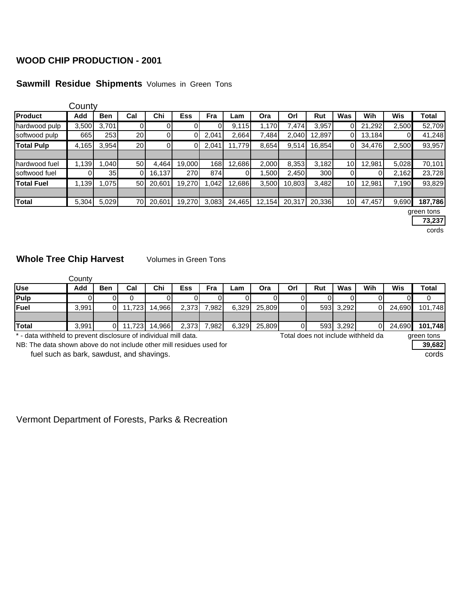## **WOOD CHIP PRODUCTION - 2001**

## **Sawmill Residue Shipments** Volumes in Green Tons

|                   | County |                 |                 |        |            |       |        |        |        |            |                 |        |       |            |
|-------------------|--------|-----------------|-----------------|--------|------------|-------|--------|--------|--------|------------|-----------------|--------|-------|------------|
| Product           | Add    | <b>Ben</b>      | Cal             | Chi    | <b>Ess</b> | Fra   | Lam    | Ora    | Orl    | <b>Rut</b> | Was             | Wih    | Wis   | Total      |
| hardwood pulp     | 3,500  | 3,701           | 0               |        |            |       | 9,115  | 1,170  | 7,474  | 3,957      | 01              | 21,292 | 2,500 | 52,709     |
| softwood pulp     | 665    | 253             | 20 <sub>l</sub> | 0      |            | 2,041 | 2,664  | 7,484  | 2,040  | 12,897     | 01              | 13,184 | 01    | 41,248     |
| <b>Total Pulp</b> | 4,165  | 3,954           | 20              | 0      |            | 2,041 | 11,779 | 8,654  | 9,514  | 16,854     | $\overline{0}$  | 34,476 | 2,500 | 93,957     |
|                   |        |                 |                 |        |            |       |        |        |        |            |                 |        |       |            |
| hardwood fuel     | 1,139  | 040.            | 50              | 4,464  | 19,000     | 168   | 12,686 | 2,000  | 8,353  | 3,182      | 10 <sup>1</sup> | 12,981 | 5,028 | 70,101     |
| softwood fuel     |        | 35 <sub>1</sub> | ΩI              | 16,137 | 270        | 874   | 0      | .500   | 2,450  | 300        | $\overline{0}$  |        | 2,162 | 23,728     |
| <b>Total Fuel</b> | 1,139  | .075            | 50              | 20,601 | 19,270     | .042  | 12,686 | 3,500  | 10,803 | 3,482      | 10 <sub>1</sub> | 12,981 | 7,190 | 93,829     |
|                   |        |                 |                 |        |            |       |        |        |        |            |                 |        |       |            |
| <b>Total</b>      | 5,304  | 5,029           | 70              | 20,601 | 19,270     | 3,083 | 24,465 | 12,154 | 20,317 | 20,336     | 10 <sub>1</sub> | 47,457 | 9,690 | 187,786    |
|                   |        |                 |                 |        |            |       |        |        |        |            |                 |        |       | green tons |

**73,237**

cords

## **Whole Tree Chip Harvest** Volumes in Green Tons

|              | Countv |     |        |               |       |             |       |        |     |     |           |     |        |         |
|--------------|--------|-----|--------|---------------|-------|-------------|-------|--------|-----|-----|-----------|-----|--------|---------|
| <b>Use</b>   | Add    | Ben | Cal    | Chi           | Ess   | Fra         | Lam   | Ora    | Orl | Rut | Was       | Wih | Wis    | Total   |
| Pulp         |        |     |        |               |       |             |       |        |     |     |           |     |        |         |
| <b>Fuel</b>  | 3,991  | ΟI  | 11,723 | 14.966        | 2.373 | 7.982       | 6,329 | 25.809 |     |     | 593 3,292 |     | 24.690 | 101,748 |
|              |        |     |        |               |       |             |       |        |     |     |           |     |        |         |
| <b>Total</b> | 3,991  | 0   |        | 11,723 14,966 |       | 2,373 7,982 | 6,329 | 25,809 |     |     | 593 3,292 |     | 24,690 | 101,748 |

\* - data withheld to prevent disclosure of individual mill data. Total does not include withheld da green tons

NB: The data shown above do not include other mill residues used for **39,682**

fuel such as bark, sawdust, and shavings. The state of the state of the state of the state of the state of the state of the state of the state of the state of the state of the state of the state of the state of the state o